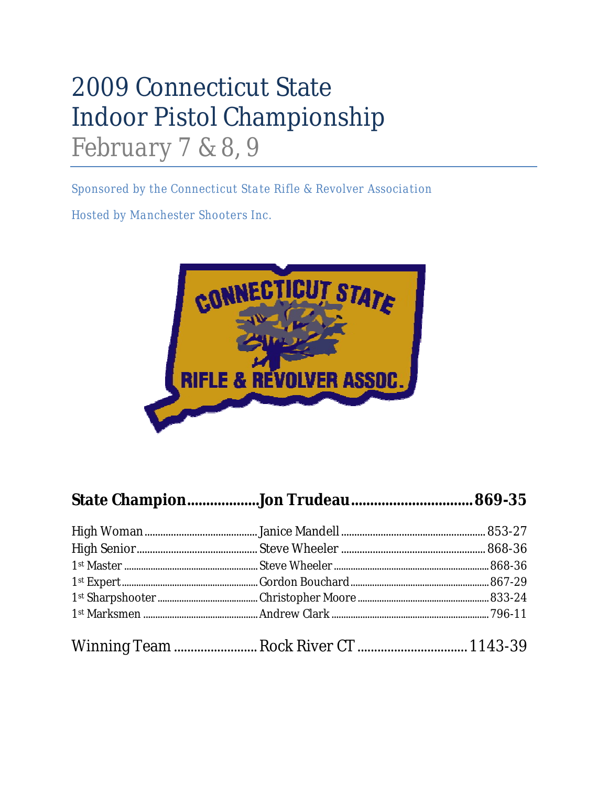## 2009 Connecticut State Indoor Pistol Championship *February 7 & 8, 9*

*Sponsored by the Connecticut State Rifle & Revolver Association*

*Hosted by Manchester Shooters Inc.*

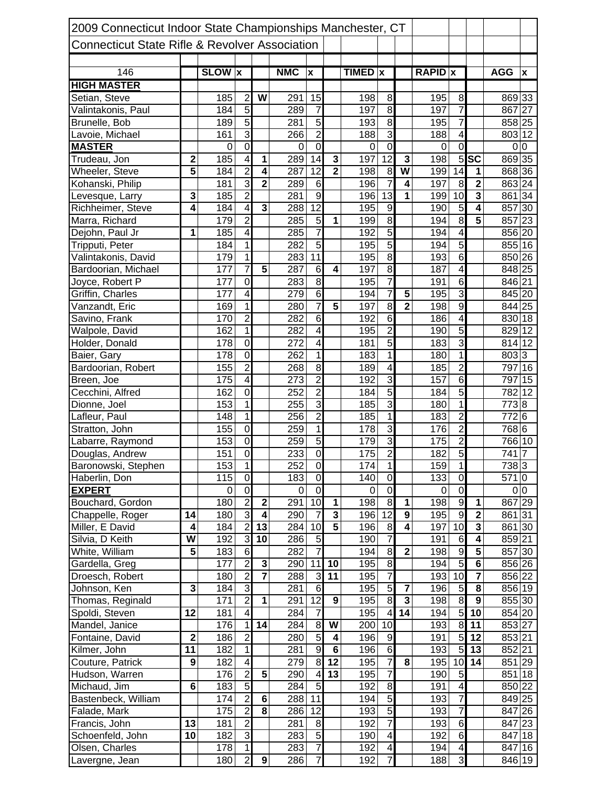| 2009 Connecticut Indoor State Championships Manchester, CT |                         |                  |                         |                         |            |                           |                         |                |                         |                         |                |                         |                         |                    |                |
|------------------------------------------------------------|-------------------------|------------------|-------------------------|-------------------------|------------|---------------------------|-------------------------|----------------|-------------------------|-------------------------|----------------|-------------------------|-------------------------|--------------------|----------------|
| <b>Connecticut State Rifle &amp; Revolver Association</b>  |                         |                  |                         |                         |            |                           |                         |                |                         |                         |                |                         |                         |                    |                |
|                                                            |                         |                  |                         |                         |            |                           |                         |                |                         |                         |                |                         |                         |                    |                |
| 146                                                        |                         | <b>SLOW</b> x    |                         |                         | <b>NMC</b> | $\boldsymbol{\mathsf{x}}$ |                         | <b>TIMED</b> x |                         |                         | <b>RAPID</b> x |                         |                         | <b>AGG</b>         | X              |
| <b>HIGH MASTER</b>                                         |                         |                  |                         |                         |            |                           |                         |                |                         |                         |                |                         |                         |                    |                |
| Setian, Steve                                              |                         | 185              | $\overline{2}$          | W                       | 291        | 15                        |                         | 198            | 8                       |                         | 195            | 8                       |                         | 869 33             |                |
| Valintakonis, Paul                                         |                         | 184              | $\overline{5}$          |                         | 289        | $\overline{7}$            |                         | 197            | $\infty$                |                         | 197            | $\overline{7}$          |                         | 867 27             |                |
| Brunelle, Bob                                              |                         | 189              | $\overline{5}$          |                         | 281        | 5                         |                         | 193            | 8                       |                         | 195            | $\overline{7}$          |                         | 858 25             |                |
| Lavoie, Michael                                            |                         | 161              | $\overline{3}$          |                         | 266        | $\overline{2}$            |                         | 188            | 3                       |                         | 188            | $\overline{4}$          |                         | $803\overline{12}$ |                |
| <b>MASTER</b>                                              |                         | $\boldsymbol{0}$ | $\overline{0}$          |                         | 0          | $\mathbf 0$               |                         | 0              | $\mathbf 0$             |                         | $\pmb{0}$      | $\overline{0}$          |                         | $\mathbf 0$        | $\mathbf 0$    |
| Trudeau, Jon                                               | 2                       | 185              | $\overline{4}$          | 1                       | 289        | 14                        | 3                       | 197            | 12                      | 3                       | 198            | $\overline{5}$          | <b>SC</b>               | 869 35             |                |
| Wheeler, Steve                                             | $\overline{\mathbf{5}}$ | 184              | $\overline{2}$          | $\overline{\mathbf{4}}$ | 287        | 12                        | $\overline{2}$          | 198            | 8                       | W                       | 199            | 14                      | 1                       | 868 36             |                |
| Kohanski, Philip                                           |                         | 181              | $\overline{3}$          | $\overline{2}$          | 289        | 6                         |                         | 196            | 7                       | 4                       | 197            | 8                       | $\overline{2}$          | 863 24             |                |
| Levesque, Larry                                            | 3                       | 185              | $\overline{2}$          |                         | 281        | $\overline{9}$            |                         | 196            | 13                      | 1                       | 199            | 10                      | $\overline{\mathbf{3}}$ | 861 34             |                |
| Richheimer, Steve                                          | $\boldsymbol{4}$        | 184              | $\overline{\mathbf{4}}$ | 3                       | 288        | $\overline{12}$           |                         | 195            | $\boldsymbol{9}$        |                         | 190            | 5                       | 4                       | 857 30             |                |
| Marra, Richard                                             |                         | 179              | $\overline{2}$          |                         | 285        | 5                         | 1                       | 199            | 8                       |                         | 194            | 8                       | $\overline{\mathbf{5}}$ | 857 23             |                |
| Dejohn, Paul Jr                                            | 1                       | 185              | $\overline{4}$          |                         | 285        | 7                         |                         | 192            | $\overline{5}$          |                         | 194            | $\overline{\mathbf{4}}$ |                         | 856 20             |                |
| Tripputi, Peter                                            |                         | 184              | $\mathbf 1$             |                         | 282        | 5                         |                         | 195            | 5                       |                         | 194            | $\overline{5}$          |                         | 855 16             |                |
| Valintakonis, David                                        |                         | 179              | $\overline{1}$          |                         | 283        | $\overline{11}$           |                         | 195            | 8                       |                         | 193            | $\overline{6}$          |                         | 850 26             |                |
| Bardoorian, Michael                                        |                         | 177              | $\overline{7}$          | $\overline{\mathbf{5}}$ | 287        | 6                         | $\overline{\mathbf{4}}$ | 197            | $\overline{8}$          |                         | 187            | $\overline{4}$          |                         | 848 25             |                |
| Joyce, Robert P                                            |                         | 177              | $\overline{0}$          |                         | 283        | 8                         |                         | 195            | $\overline{7}$          |                         | 191            | $\overline{6}$          |                         | 846 21             |                |
| Griffin, Charles                                           |                         | $\overline{177}$ | $\overline{4}$          |                         | 279        | $\overline{6}$            |                         | 194            | $\overline{7}$          | $\overline{\mathbf{5}}$ | 195            | $\overline{3}$          |                         | 845 20             |                |
| Vanzandt, Eric                                             |                         | 169              | 1                       |                         | 280        | $\overline{7}$            | $\overline{\mathbf{5}}$ | 197            | 8                       | $\overline{\mathbf{2}}$ | 198            | $\overline{9}$          |                         | 844 25             |                |
| Savino, Frank                                              |                         | 170              | $\overline{2}$          |                         | 282        | $6\phantom{1}$            |                         | 192            | 6                       |                         | 186            | $\overline{\mathbf{4}}$ |                         | 830 18             |                |
| Walpole, David                                             |                         | 162              | $\mathbf 1$             |                         | 282        | $\overline{\mathbf{4}}$   |                         | 195            | $\overline{2}$          |                         | 190            | $\overline{5}$          |                         | 829                | 12             |
| Holder, Donald                                             |                         | 178              | $\overline{0}$          |                         | 272        | 4                         |                         | 181            | 5                       |                         | 183            | $\overline{3}$          |                         | 814                | 12             |
| Baier, Gary                                                |                         | 178              | $\overline{0}$          |                         | 262        | $\overline{\phantom{a}}$  |                         | 183            | 1                       |                         | 180            | $\overline{1}$          |                         | 803 3              |                |
| Bardoorian, Robert                                         |                         | 155              | $\overline{2}$          |                         | 268        | 8                         |                         | 189            | $\overline{\mathbf{A}}$ |                         | 185            | $\overline{2}$          |                         | 797 16             |                |
| Breen, Joe                                                 |                         | 175              | $\overline{4}$          |                         | 273        | $\overline{2}$            |                         | 192            | 3                       |                         | 157            | 6                       |                         | 797                | 15             |
| Cecchini, Alfred                                           |                         | 162              | $\overline{0}$          |                         | 252        | $\overline{2}$            |                         | 184            | 5                       |                         | 184            | $\overline{5}$          |                         | 782 12             |                |
| Dionne, Joel                                               |                         | 153              | $\overline{1}$          |                         | 255        | 3                         |                         | 185            | 3                       |                         | 180            | $\mathbf 1$             |                         | 7738               |                |
| Lafleur, Paul                                              |                         | 148              | $\overline{1}$          |                         | 256        | $\overline{2}$            |                         | 185            | 1                       |                         | 183            | $\overline{2}$          |                         | 7726               |                |
| Stratton, John                                             |                         | 155              | $\overline{0}$          |                         | 259        | 1                         |                         | 178            | 3                       |                         | 176            | $\overline{2}$          |                         | 768 6              |                |
| Labarre, Raymond                                           |                         | 153              | O                       |                         | 259        | 5                         |                         | 179            | $\overline{3}$          |                         | 175            | $\overline{2}$          |                         | 766 10             |                |
| Douglas, Andrew                                            |                         | 151              | $\overline{0}$          |                         | 233        | $\overline{0}$            |                         | 175            | $\overline{2}$          |                         | 182            | $\overline{5}$          |                         | 741                | $\overline{7}$ |
| Baronowski, Stephen                                        |                         | 153              | 1                       |                         | 252        | $\overline{0}$            |                         | 174            | 1                       |                         | 159            | 1                       |                         | 7383               |                |
| Haberlin, Don                                              |                         | 115              | $\overline{0}$          |                         | 183        | $\overline{0}$            |                         | 140            | $\overline{0}$          |                         | 133            | $\overline{\mathsf{o}}$ |                         | 5710               |                |
| <b>EXPERT</b>                                              |                         | $\mathbf 0$      | $\overline{0}$          |                         | $\Omega$   | $\mathbf 0$               |                         | $\Omega$       | $\overline{0}$          |                         | 0              | $\overline{\mathsf{o}}$ |                         |                    | 0 0            |
| Bouchard, Gordon                                           |                         | 180              | $\overline{2}$          | $\overline{\mathbf{2}}$ | 291        | 10                        | $\mathbf{1}$            | 198            | $\infty$                | $\mathbf{1}$            | 198            | $\overline{9}$          | $\mathbf{1}$            | 867 29             |                |
| Chappelle, Roger                                           | 14                      | 180              | 3                       | $\overline{\mathbf{4}}$ | 290        | $\overline{7}$            | $\overline{\mathbf{3}}$ | 196            | 12                      | $\boldsymbol{9}$        | 195            | $\overline{9}$          | $\overline{\mathbf{2}}$ | 861 31             |                |
| Miller, E David                                            | $\overline{\mathbf{4}}$ | 184              | $\overline{2}$          | $\overline{13}$         | 284        | 10                        | $\overline{5}$          | 196            | $\bf{8}$                | $\overline{\mathbf{4}}$ | 197            | 10                      | $\overline{\mathbf{3}}$ | 861 30             |                |
| Silvia, D Keith                                            | W                       | 192              | 3                       | 10                      | 286        | $\sqrt{5}$                |                         | 190            | $\overline{7}$          |                         | 191            | $\,6$                   | $\overline{4}$          | 859 21             |                |
| White, William                                             | 5                       | 183              | $\overline{6}$          |                         | 282        | $\overline{7}$            |                         | 194            | 8                       | $\mathbf 2$             | 198            | $\overline{9}$          | $\overline{5}$          | 857 30             |                |
| Gardella, Greg                                             |                         | 177              | $\overline{2}$          | $\overline{\mathbf{3}}$ | 290        | $\overline{11}$           | 10                      | 195            | 8                       |                         | 194            | $\overline{5}$          | $\overline{6}$          | 856 26             |                |
| Droesch, Robert                                            |                         | 180              | $\overline{2}$          | $\overline{7}$          | 288        | 3                         | 11                      | 195            | $\overline{7}$          |                         | 193            | 10                      | $\overline{\mathbf{7}}$ | 856 22             |                |
| Johnson, Ken                                               | 3                       | 184              | ω                       |                         | 281        | 6                         |                         | 195            | 5                       | 7                       | 196            | $\overline{5}$          | 8                       | 856 19             |                |
| Thomas, Reginald                                           |                         | 171              | $\overline{2}$          | 1                       | 291        | $\overline{12}$           | 9                       | 195            | 8                       | 3                       | 198            | 8                       | $\overline{9}$          | 855 30             |                |
| Spoldi, Steven                                             | 12                      | 181              | $\overline{\mathbf{4}}$ |                         | 284        | $\overline{7}$            |                         | 195            | $\overline{4}$          | 14                      | 194            | 5                       | 10                      | 854 20             |                |
| Mandel, Janice                                             |                         | 176              | $\mathbf 1$             | 14                      | 284        | 8                         | W                       | 200            | 10                      |                         | 193            | 8                       | 11                      | 853 27             |                |
| Fontaine, David                                            | $\mathbf 2$             | 186              | $\overline{2}$          |                         | 280        | 5 <sup>1</sup>            | 4                       | 196            | $\overline{9}$          |                         | 191            | 5                       | 12                      | 853 21             |                |
| Kilmer, John                                               | 11                      | 182              | $\overline{1}$          |                         | 281        | $\boldsymbol{9}$          | $6\phantom{1}6$         | 196            | $\overline{6}$          |                         | 193            | 5                       | 13                      | 852 21             |                |
| Couture, Patrick                                           | 9                       | 182              | $\overline{4}$          |                         | 279        | 8                         | 12                      | 195            | 7                       | 8                       | 195            | 10                      | 14                      | 851 29             |                |
| Hudson, Warren                                             |                         | 176              | $\overline{2}$          | $\overline{\mathbf{5}}$ | 290        | 4                         | 13                      | 195            | $\overline{7}$          |                         | 190            | 5                       |                         | 851 18             |                |
| Michaud, Jim                                               | 6                       | 183              | $\overline{5}$          |                         | 284        | ס<br>ס                    |                         | 192            | $\infty$                |                         | 191            | $\overline{\mathbf{4}}$ |                         | 850 22             |                |
| Bastenbeck, William                                        |                         | 174              | $\overline{2}$          | $\bf 6$                 | 288        | 11                        |                         | 194            | $\overline{5}$          |                         | 193            | $\overline{7}$          |                         | 849 25             |                |
| Falade, Mark                                               |                         | 175              | $\overline{2}$          | 8                       | 286        | 12                        |                         | 193            | $\overline{5}$          |                         | 193            | $\overline{7}$          |                         | 847 26             |                |
| Francis, John                                              | 13                      | 181              | $\overline{2}$          |                         | 281        | 8                         |                         | 192            | 7                       |                         | 193            | $\,6$                   |                         | 847 23             |                |
| Schoenfeld, John                                           | 10                      | 182              | 3                       |                         | 283        | 5                         |                         | 190            | $\overline{\mathbf{4}}$ |                         | 192            | 6                       |                         | 847 18             |                |
| Olsen, Charles                                             |                         | 178              | $\overline{1}$          |                         | 283        | 7                         |                         | 192            | $\vert 4 \vert$         |                         | 194            | $\overline{4}$          |                         | 847 16             |                |
| Lavergne, Jean                                             |                         | 180              | $\overline{2}$          | $\boldsymbol{9}$        | 286        | $\overline{7}$            |                         | 192            | $\overline{7}$          |                         | 188            | $\overline{3}$          |                         | 846 19             |                |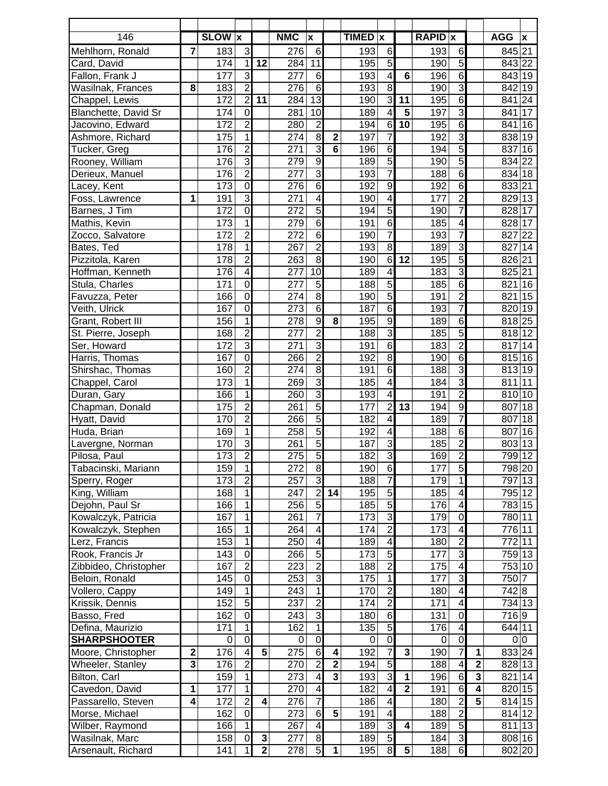| 146                                  |                         | <b>SLOW</b> x    |                                  |                         | <b>NMC</b>       | $\boldsymbol{\mathsf{x}}$ |                | TIMED x          |                                           |                         | <b>RAPID</b> x |                                  |                | <b>AGG</b>       | $\pmb{\mathsf{x}}$    |
|--------------------------------------|-------------------------|------------------|----------------------------------|-------------------------|------------------|---------------------------|----------------|------------------|-------------------------------------------|-------------------------|----------------|----------------------------------|----------------|------------------|-----------------------|
| Mehlhorn, Ronald                     | $\overline{7}$          | 183              | 3                                |                         | 276              | $6\phantom{1}6$           |                | 193              | 6                                         |                         | 193            | 6                                |                | 845 21           |                       |
| Card, David                          |                         | 174              | $\mathbf 1$                      | 12                      | 284              | 11                        |                | 195              | 5                                         |                         | 190            | $\overline{5}$                   |                | 843 22           |                       |
| Fallon, Frank J                      |                         | 177              | $\overline{3}$                   |                         | 277              | $6\phantom{1}6$           |                | 193              | $\overline{\mathbf{A}}$                   | $6\phantom{1}$          | 196            | $\overline{6}$                   |                | 843 19           |                       |
| Wasilnak, Frances                    | 8                       | 183              | $\overline{2}$                   |                         | 276              | $\overline{6}$            |                | 193              | 8                                         |                         | 190            | $\overline{3}$                   |                | 842 19           |                       |
| Chappel, Lewis                       |                         | 172              | $\overline{2}$                   | 11                      | 284              | $\overline{13}$           |                | 190              | 3                                         | 11                      | 195            | $\overline{6}$                   |                | 841              | 24                    |
| Blanchette, David Sr                 |                         | 174              | $\mathbf 0$                      |                         | 281              | 10                        |                | 189              | 4                                         | $\overline{\mathbf{5}}$ | 197            | $\overline{3}$                   |                | 841              | 17                    |
| Jacovino, Edward                     |                         | 172              | $\overline{2}$                   |                         | 280              | $\overline{2}$            |                | 194              | 6                                         | $\overline{10}$         | 195            | $\overline{6}$                   |                | 841              | 16                    |
| Ashmore, Richard                     |                         | 175              | $\overline{1}$                   |                         | 274              | $\overline{8}$            | $\mathbf{2}$   | 197              | $\overline{7}$                            |                         | 192            | $\overline{3}$                   |                | 838 19           |                       |
| Tucker, Greg                         |                         | 176              | $\overline{2}$                   |                         | 271              | $\overline{3}$            | $\overline{6}$ | 196              | 6                                         |                         | 194            | $\overline{5}$                   |                | 837              | 16                    |
| Rooney, William                      |                         | 176              | 3                                |                         | 279              | $\boldsymbol{9}$          |                | 189              | $\overline{5}$                            |                         | 190            | $\overline{5}$                   |                | 834 22           |                       |
| Derieux, Manuel                      |                         | 176              | $\overline{2}$                   |                         | $\overline{277}$ | $\overline{3}$            |                | 193              | 7                                         |                         | 188            | $\overline{6}$                   |                | 834 18           |                       |
| Lacey, Kent                          |                         | $\overline{173}$ | $\overline{0}$                   |                         | $\overline{276}$ | $\overline{6}$            |                | 192              | $\overline{9}$                            |                         | 192            | $\overline{6}$                   |                | 833 21           |                       |
| Foss, Lawrence                       | 1                       | 191              | $\overline{3}$                   |                         | 271              | 4                         |                | 190              | 4                                         |                         | 177            | $\overline{2}$                   |                | 829 13           |                       |
| Barnes, J Tim                        |                         | $\overline{172}$ | $\overline{0}$                   |                         | 272              | $\overline{5}$            |                | 194              | 5                                         |                         | 190            | $\overline{7}$                   |                | 828 17           |                       |
| Mathis, Kevin                        |                         | 173              | $\overline{1}$                   |                         | 279              | $\overline{6}$            |                | 191              | 6                                         |                         | 185            | $\overline{4}$                   |                | 828 17           |                       |
| Zocco, Salvatore                     |                         | 172              | $\overline{2}$                   |                         | 272              | $\overline{6}$            |                | 190              | 7                                         |                         | 193            | 7                                |                | 827              | 22                    |
| Bates, Ted                           |                         | 178              | $\overline{1}$                   |                         | 267              | $\overline{2}$            |                | 193              | 8                                         |                         | 189            | $\overline{3}$                   |                | 827              | 14                    |
| Pizzitola, Karen                     |                         | 178              | $\overline{2}$                   |                         | 263              | $\overline{8}$            |                | 190              | $\overline{6}$                            | 12                      | 195            | $\overline{5}$                   |                | 826 21           |                       |
| Hoffman, Kenneth                     |                         | 176              | $\overline{4}$                   |                         | 277              | $\overline{10}$           |                | 189              | $\overline{4}$                            |                         | 183            | $\overline{3}$                   |                | 825 21           |                       |
| Stula, Charles                       |                         | 171              | $\overline{0}$                   |                         | 277              | $\overline{5}$            |                | 188              | 5                                         |                         | 185            | $\overline{6}$                   |                | 821              | 16                    |
| Favuzza, Peter                       |                         | 166              | $\overline{0}$                   |                         | 274              | $\overline{8}$            |                | 190              | $\overline{5}$                            |                         | 191            | $\overline{2}$                   |                | 821              | 15                    |
| Veith, Ulrick                        |                         | 167              | $\mathbf 0$                      |                         | 273              | $\overline{6}$            |                | 187              | 6                                         |                         | 193            | $\overline{7}$                   |                | 820              | 19                    |
| Grant, Robert III                    |                         | 156              | $\mathbf 1$                      |                         | 278              | g                         | 8              | 195              | $\overline{9}$                            |                         | 189            | $\overline{6}$                   |                | 818 25           |                       |
| St. Pierre, Joseph                   |                         | 168              | $\overline{2}$                   |                         | 277              | $\overline{c}$            |                | 188              | $\overline{3}$                            |                         | 185            | $\overline{5}$                   |                | 818 12           |                       |
| Ser, Howard                          |                         | 172              | $\overline{3}$                   |                         | 271              | $\overline{3}$            |                | 191              | 6                                         |                         | 183            | $\overline{2}$                   |                | 817              | 14                    |
| Harris, Thomas                       |                         | 167              | $\overline{0}$                   |                         | 266              | $\overline{2}$            |                | 192              | 8                                         |                         | 190            | $\overline{6}$                   |                | 815              | 16                    |
| Shirshac, Thomas                     |                         | 160              | $\overline{2}$                   |                         | 274              | 8                         |                | 191              | 6                                         |                         | 188            | $\overline{3}$                   |                | 813              | 19                    |
| Chappel, Carol                       |                         | 173              | $\overline{1}$                   |                         | 269              | 3                         |                | 185              | $\overline{\mathbf{A}}$                   |                         | 184            | $\overline{3}$                   |                | 811              | 11                    |
| Duran, Gary                          |                         | 166              | 1                                |                         | 260              | 3                         |                | 193              | 4                                         |                         | 191            | $\overline{2}$                   |                | 810              | 10                    |
| Chapman, Donald                      |                         | 175              | $\overline{2}$                   |                         | 261              | $\overline{5}$            |                | 177              | $\overline{2}$                            | 13                      | 194            | $\overline{9}$                   |                | 807              | 18                    |
| Hyatt, David                         |                         | 170              | $\overline{2}$                   |                         | 266              | $\overline{5}$            |                | 182              | 4                                         |                         | 189            | $\overline{7}$                   |                | 807              | 18                    |
| Huda, Brian                          |                         | 169              | $\overline{1}$<br>$\overline{3}$ |                         | 258              | 5                         |                | 192              | $\overline{\mathbf{A}}$<br>$\overline{3}$ |                         | 188            | $\overline{6}$                   |                | 807              | 16                    |
| Lavergne, Norman                     |                         | 170<br>173       |                                  |                         | 261<br>275       | 5<br>5                    |                | 187<br>182       | 3                                         |                         | 185<br>169     | $\overline{2}$<br>$\overline{2}$ |                | 803<br>799       | 13<br>$\overline{12}$ |
| Pilosa, Paul                         |                         | 159              | $\overline{c}$                   |                         |                  |                           |                |                  |                                           |                         |                |                                  |                |                  |                       |
| Tabacinski, Mariann<br>Sperry, Roger |                         | $\overline{173}$ | 1<br>$\overline{2}$              |                         | 272<br>257       | 8<br>3                    |                | 190<br>188       | $6 \,$<br>$\overline{7}$                  |                         | 177<br>179     | 5 <sub>5</sub><br>1              |                | 798 20<br>797 13 |                       |
| King, William                        |                         | 168              | 1                                |                         | $\overline{247}$ | $\overline{2}$            | 14             | 195              | 5                                         |                         | 185            | 4                                |                | 795 12           |                       |
| Dejohn, Paul Sr                      |                         | 166              | 1                                |                         | 256              | $\overline{5}$            |                | 185              | $\overline{5}$                            |                         | 176            | $\overline{4}$                   |                | 783 15           |                       |
| Kowalczyk, Patricia                  |                         | 167              | 1                                |                         | 261              | 7                         |                | $\overline{173}$ | 3                                         |                         | 179            | $\overline{0}$                   |                | 780 11           |                       |
| Kowalczyk, Stephen                   |                         | 165              | $\overline{1}$                   |                         | 264              | $\overline{\mathbf{4}}$   |                | 174              | $\overline{2}$                            |                         | 173            | $\overline{4}$                   |                | 776 11           |                       |
| Lerz, Francis                        |                         | 153              | $\overline{1}$                   |                         | 250              | $\overline{\mathbf{4}}$   |                | 189              | $\overline{\mathbf{r}}$                   |                         | 180            | $\overline{2}$                   |                | 772 11           |                       |
| Rook, Francis Jr                     |                         | 143              | $\overline{0}$                   |                         | 266              | 5                         |                | 173              | $\overline{5}$                            |                         | 177            | $\overline{3}$                   |                | 759 13           |                       |
| Zibbideo, Christopher                |                         | 167              | $\overline{2}$                   |                         | 223              | $\overline{2}$            |                | 188              | $\overline{2}$                            |                         | 175            | $\overline{4}$                   |                | 753 10           |                       |
| Beloin, Ronald                       |                         | 145              | $\overline{0}$                   |                         | 253              | ω                         |                | 175              | $\overline{1}$                            |                         | 177            | $\overline{3}$                   |                | 750 7            |                       |
| Vollero, Cappy                       |                         | 149              | $\mathbf 1$                      |                         | 243              | $\mathbf{1}$              |                | 170              | $\overline{2}$                            |                         | 180            | $\overline{4}$                   |                | 742 8            |                       |
| Krissik, Dennis                      |                         | 152              | $\overline{5}$                   |                         | 237              | $\overline{2}$            |                | 174              | $\overline{2}$                            |                         | 171            | $\overline{\mathbf{4}}$          |                | 734 13           |                       |
| Basso, Fred                          |                         | 162              | $\mathbf 0$                      |                         | 243              | ω                         |                | 180              | 6                                         |                         | 131            | $\mathbf 0$                      |                | 716 9            |                       |
| Defina, Maurizio                     |                         | 171              | $\mathbf 1$                      |                         | 162              | 1                         |                | 135              | $\overline{5}$                            |                         | 176            | $\overline{\mathbf{4}}$          |                | 644 11           |                       |
| <b>SHARPSHOOTER</b>                  |                         | 0                | $\overline{0}$                   |                         | $\Omega$         | $\mathbf 0$               |                | $\mathbf 0$      | $\overline{0}$                            |                         | 0              | $\mathbf 0$                      |                |                  | 0 <sup>0</sup>        |
| Moore, Christopher                   | $\mathbf 2$             | 176              | $\overline{4}$                   | $\overline{\mathbf{5}}$ | 275              | $\,$ 6                    | 4              | 192              | 7                                         | $\mathbf{3}$            | 190            | $\overline{7}$                   | 1              | 833 24           |                       |
| Wheeler, Stanley                     | $\overline{\mathbf{3}}$ | 176              | $\overline{2}$                   |                         | 270              | $\overline{2}$            | $\mathbf{2}$   | 194              | 5                                         |                         | 188            | $\overline{4}$                   | $\mathbf{2}$   | 828 13           |                       |
| Bilton, Carl                         |                         | 159              | $\mathbf{1}$                     |                         | 273              | 4                         | $\mathbf{3}$   | 193              | 3                                         | 1                       | 196            | $6\phantom{1}6$                  | $\mathbf{3}$   | 821 14           |                       |
| Cavedon, David                       | $\mathbf{1}$            | 177              | $\mathbf 1$                      |                         | 270              | $\overline{\mathbf{4}}$   |                | 182              | $\overline{\mathbf{4}}$                   | $\overline{2}$          | 191            | $\overline{6}$                   | $\overline{4}$ | 820 15           |                       |
| Passarello, Steven                   | $\overline{\mathbf{4}}$ | 172              | $\overline{2}$                   | $\overline{\mathbf{4}}$ | 276              | $\overline{7}$            |                | 186              | $\overline{\mathbf{A}}$                   |                         | 180            | $\overline{2}$                   | $\overline{5}$ | 814 15           |                       |
| Morse, Michael                       |                         | 162              | $\mathbf 0$                      |                         | 273              | $6\phantom{1}6$           | 5              | 191              | $\overline{\mathcal{A}}$                  |                         | 188            | $\overline{2}$                   |                | 814 12           |                       |
| Wilber, Raymond                      |                         | 166              | $\mathbf 1$                      |                         | 267              | $\overline{\mathbf{4}}$   |                | 189              | $\overline{3}$                            | 4                       | 189            | $\overline{5}$                   |                | 811 13           |                       |
| Wasilnak, Marc                       |                         | 158              | $\overline{0}$                   | $\mathbf 3$             | 277              | 8                         |                | 189              | $\overline{5}$                            |                         | 184            | $\overline{3}$                   |                | 808 16           |                       |
| Arsenault, Richard                   |                         | 141              | 1                                | $\overline{2}$          | 278              | 5                         | 1              | 195              | $\infty$                                  | $\sqrt{5}$              | 188            | $\overline{6}$                   |                | 802 20           |                       |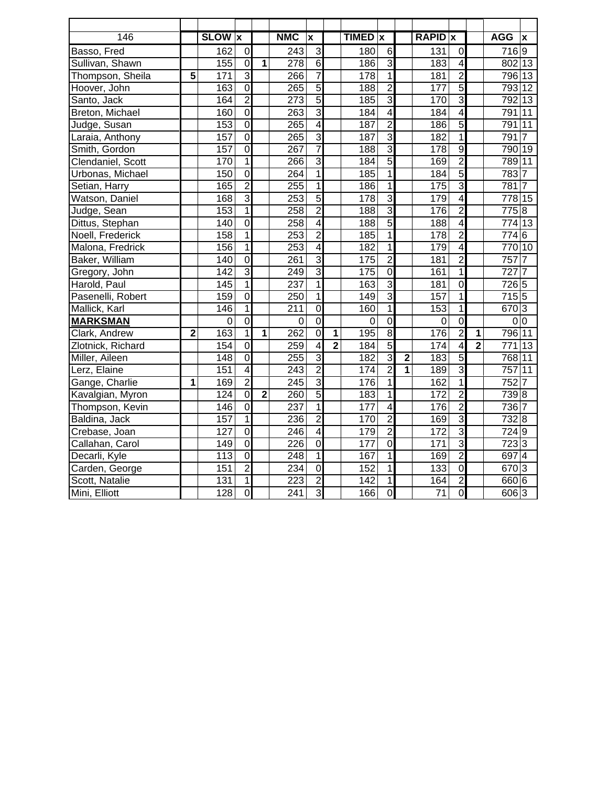| 146               |                | <b>SLOW</b> x    |                |                | <b>NMC</b>       | X                       |                | <b>TIMED</b>     | $\boldsymbol{x}$ |                | <b>RAPID</b> x   |                         |                | <b>AGG</b>        | $\mathbf x$ |
|-------------------|----------------|------------------|----------------|----------------|------------------|-------------------------|----------------|------------------|------------------|----------------|------------------|-------------------------|----------------|-------------------|-------------|
| Basso, Fred       |                | 162              | $\overline{0}$ |                | 243              | 3                       |                | 180              | $6\phantom{1}$   |                | 131              | $\mathbf 0$             |                | 7169              |             |
| Sullivan, Shawn   |                | 155              | $\overline{0}$ | 1              | 278              | $\overline{6}$          |                | 186              | $\overline{3}$   |                | 183              | $\overline{\mathbf{4}}$ |                | 802 13            |             |
| Thompson, Sheila  | 5              | 171              | 3              |                | 266              | $\overline{7}$          |                | 178              | $\overline{1}$   |                | 181              | $\overline{2}$          |                | 796 13            |             |
| Hoover, John      |                | 163              | $\overline{0}$ |                | 265              | $\overline{5}$          |                | 188              | $\overline{2}$   |                | 177              | $\overline{5}$          |                | 793 12            |             |
| Santo, Jack       |                | 164              | $\overline{2}$ |                | 273              | $\overline{5}$          |                | 185              | $\overline{3}$   |                | 170              | $\overline{3}$          |                | 792 13            |             |
| Breton, Michael   |                | 160              | $\overline{0}$ |                | 263              | $\overline{3}$          |                | 184              | $\overline{4}$   |                | 184              | 4                       |                | 791 11            |             |
| Judge, Susan      |                | 153              | $\overline{0}$ |                | 265              | $\overline{4}$          |                | 187              | $\overline{2}$   |                | 186              | $\overline{5}$          |                | 791 11            |             |
| Laraia, Anthony   |                | 157              | Ō              |                | 265              | $\overline{3}$          |                | 187              | $\overline{3}$   |                | 182              | $\mathbf 1$             |                | 7917              |             |
| Smith, Gordon     |                | 157              | $\overline{0}$ |                | 267              | $\overline{7}$          |                | 188              | 3                |                | 178              | $\overline{9}$          |                | 790 19            |             |
| Clendaniel, Scott |                | 170              | $\overline{1}$ |                | 266              | $\overline{3}$          |                | 184              | $\overline{5}$   |                | 169              | $\overline{2}$          |                | 789 11            |             |
| Urbonas, Michael  |                | 150              | $\overline{0}$ |                | 264              | 1                       |                | 185              | $\overline{1}$   |                | 184              | $\overline{5}$          |                | 7837              |             |
| Setian, Harry     |                | 165              | $\overline{2}$ |                | 255              | 1                       |                | 186              | $\overline{1}$   |                | 175              | 3                       |                | 7817              |             |
| Watson, Daniel    |                | 168              | $\overline{3}$ |                | 253              | $\overline{5}$          |                | 178              | $\overline{3}$   |                | 179              | $\overline{4}$          |                | 778 15            |             |
| Judge, Sean       |                | 153              | $\overline{1}$ |                | 258              | $\overline{2}$          |                | 188              | $\overline{3}$   |                | 176              | $\overline{2}$          |                | 7758              |             |
| Dittus, Stephan   |                | 140              | $\overline{0}$ |                | 258              | $\overline{4}$          |                | 188              | $\overline{5}$   |                | 188              | 4                       |                | 774 13            |             |
| Noell, Frederick  |                | 158              | $\overline{1}$ |                | 253              | $\overline{2}$          |                | 185              | $\overline{1}$   |                | 178              | $\overline{2}$          |                | 7746              |             |
| Malona, Fredrick  |                | 156              | $\mathbf 1$    |                | 253              | $\overline{\mathbf{4}}$ |                | 182              | $\overline{1}$   |                | 179              | $\overline{\mathbf{4}}$ |                | 770 10            |             |
| Baker, William    |                | $\overline{140}$ | $\overline{0}$ |                | 261              | $\overline{3}$          |                | 175              | $\overline{2}$   |                | 181              | $\overline{2}$          |                | 7577              |             |
| Gregory, John     |                | $\overline{142}$ | $\overline{3}$ |                | 249              | $\overline{3}$          |                | 175              | $\overline{0}$   |                | 161              | $\mathbf 1$             |                | 7277              |             |
| Harold, Paul      |                | 145              | $\overline{1}$ |                | 237              | 1                       |                | 163              | $\overline{3}$   |                | 181              | $\overline{0}$          |                | 726 5             |             |
| Pasenelli, Robert |                | 159              | $\overline{0}$ |                | 250              | $\mathbf{1}$            |                | 149              | $\overline{3}$   |                | 157              | $\overline{1}$          |                | 7155              |             |
| Mallick, Karl     |                | 146              | $\overline{1}$ |                | 211              | $\mathbf 0$             |                | 160              | $\overline{1}$   |                | 153              | $\mathbf 1$             |                | 670 3             |             |
| <b>MARKSMAN</b>   |                | 0                | $\overline{0}$ |                | $\overline{0}$   | $\mathbf 0$             |                | $\mathbf 0$      | $\overline{0}$   |                | $\boldsymbol{0}$ | $\overline{0}$          |                | 0 <sup>0</sup>    |             |
| Clark, Andrew     | $\overline{2}$ | 163              | $\overline{1}$ | 1              | 262              | $\overline{0}$          | $\overline{1}$ | 195              | $\overline{8}$   |                | 176              | $\overline{2}$          | 1              | 796 11            |             |
| Zlotnick, Richard |                | 154              | $\overline{0}$ |                | 259              | $\overline{\mathbf{4}}$ | $\overline{2}$ | 184              | $\overline{5}$   |                | 174              | 4                       | $\overline{2}$ | 771 13            |             |
| Miller, Aileen    |                | $\overline{148}$ | $\overline{0}$ |                | 255              | $\overline{3}$          |                | 182              | $\overline{3}$   | $\overline{2}$ | 183              | $\overline{5}$          |                | 768 11            |             |
| Lerz, Elaine      |                | 151              | $\overline{4}$ |                | $\overline{243}$ | $\overline{2}$          |                | 174              | $\overline{2}$   | $\overline{1}$ | 189              | $\overline{3}$          |                | 757 11            |             |
| Gange, Charlie    | 1              | 169              | $\overline{2}$ |                | 245              | $\overline{3}$          |                | 176              | $\overline{1}$   |                | 162              | $\overline{1}$          |                | $752\overline{7}$ |             |
| Kavalgian, Myron  |                | 124              | O              | $\overline{2}$ | 260              | $\overline{5}$          |                | 183              | 1                |                | 172              | $\overline{2}$          |                | 739 8             |             |
| Thompson, Kevin   |                | 146              | $\overline{0}$ |                | $\overline{237}$ | 1                       |                | 177              | $\overline{4}$   |                | 176              | $\overline{2}$          |                | 736 7             |             |
| Baldina, Jack     |                | 157              | 1              |                | 236              | $\overline{c}$          |                | 170              | $\overline{2}$   |                | 169              | $\overline{3}$          |                | 732 8             |             |
| Crebase, Joan     |                | 127              | $\overline{0}$ |                | 246              | $\overline{\mathbf{4}}$ |                | 179              | $\overline{2}$   |                | 172              | $\overline{3}$          |                | 724 9             |             |
| Callahan, Carol   |                | 149              | $\overline{0}$ |                | $\overline{226}$ | $\overline{0}$          |                | 177              | $\overline{0}$   |                | 171              | $\overline{3}$          |                | 723 3             |             |
| Decarli, Kyle     |                | 113              | $\overline{0}$ |                | 248              | $\overline{1}$          |                | 167              | $\overline{1}$   |                | 169              | $\overline{2}$          |                | $697\overline{4}$ |             |
| Carden, George    |                | 151              | $\overline{2}$ |                | 234              | $\overline{0}$          |                | 152              | $\overline{1}$   |                | 133              | $\overline{0}$          |                | 670 3             |             |
| Scott, Natalie    |                | $\overline{131}$ | $\overline{1}$ |                | 223              | $\overline{2}$          |                | $\overline{142}$ | $\overline{1}$   |                | 164              | $\overline{2}$          |                | 660 6             |             |
| Mini, Elliott     |                | 128              | O              |                | 241              | 3                       |                | 166              | $\overline{0}$   |                | $\overline{71}$  | $\overline{0}$          |                | 606 3             |             |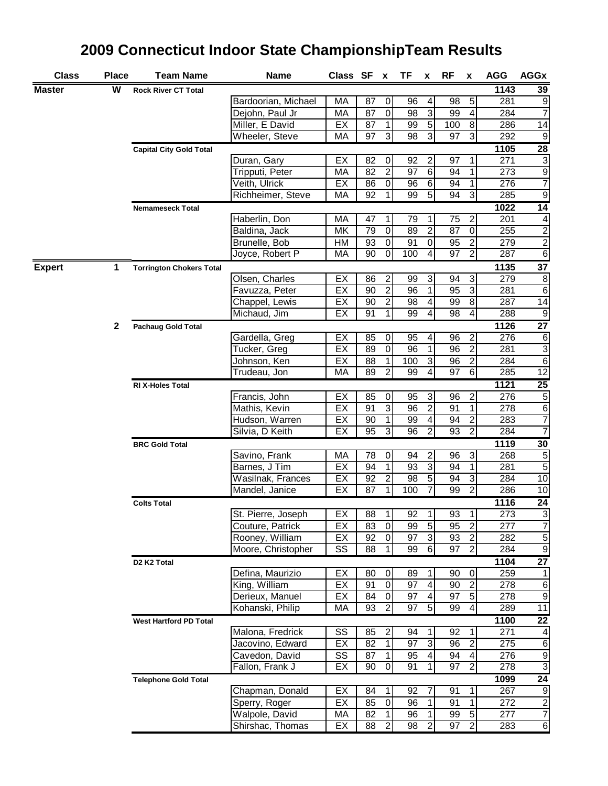| W<br><b>Master</b><br><b>Rock River CT Total</b><br>5<br>Bardoorian, Michael<br>87<br>$\mathbf 0$<br>96<br>4<br>98<br>МA<br>$\ensuremath{\mathsf{3}}$<br>87<br>$\pmb{0}$<br>98<br>99<br>Dejohn, Paul Jr<br>МA<br>4 | 1143<br>281<br>284 | 39<br>9                             |
|--------------------------------------------------------------------------------------------------------------------------------------------------------------------------------------------------------------------|--------------------|-------------------------------------|
|                                                                                                                                                                                                                    |                    |                                     |
|                                                                                                                                                                                                                    |                    |                                     |
|                                                                                                                                                                                                                    |                    | $\overline{7}$                      |
| $\overline{5}$<br>Miller, E David<br>EX<br>87<br>1<br>100<br>99<br>8                                                                                                                                               | 286                | 14                                  |
| 3<br>3<br>دن<br>Wheeler, Steve<br>97<br>98<br>97<br>МA                                                                                                                                                             | 292                | $9\,$                               |
| <b>Capital City Gold Total</b>                                                                                                                                                                                     | 1105               | 28                                  |
| EX<br>82<br>$\overline{c}$<br>Duran, Gary<br>0<br>92<br>97<br>1                                                                                                                                                    | 271                | $\mathbf{3}$                        |
| $\overline{2}$<br>$\overline{6}$<br>97<br>82<br>94<br>Tripputi, Peter<br>МA<br>1                                                                                                                                   | 273                | $\overline{9}$                      |
| $\overline{\mathsf{o}}$<br>$\overline{6}$<br>94<br>Veith, Ulrick<br>EX<br>86<br>96<br>1                                                                                                                            | 276                | $\overline{7}$                      |
| $\overline{5}$<br>Richheimer, Steve<br>92<br>1<br>99<br>94<br>3<br>МA                                                                                                                                              | 285                | $\overline{9}$                      |
| <b>Nemameseck Total</b>                                                                                                                                                                                            | 1022               | $\overline{14}$                     |
| $\boldsymbol{2}$<br>Haberlin, Don<br>МA<br>47<br>1<br>79<br>1<br>75<br>$\overline{2}$<br>$\overline{\mathsf{o}}$                                                                                                   | 201                | $\overline{\mathcal{A}}$            |
| 79<br>89<br>87<br>$\mathbf 0$<br>Baldina, Jack<br>МK<br>$\overline{\mathsf{o}}$<br>$\pmb{0}$                                                                                                                       | 255<br>279         | $\overline{2}$                      |
| Brunelle, Bob<br>93<br>91<br>95<br>$\boldsymbol{2}$<br>НM<br>$\overline{0}$<br>4<br>$\overline{97}$<br>$\overline{2}$<br>90<br>100<br>Joyce, Robert P<br>МA                                                        | 287                | $\overline{2}$<br>6                 |
|                                                                                                                                                                                                                    | 1135               |                                     |
| <b>Expert</b><br>1.<br><b>Torrington Chokers Total</b><br>Olsen, Charles<br>$\overline{\mathbf{c}}$<br>3<br>3<br>EX<br>86<br>99<br>94                                                                              | 279                | 37<br>8                             |
| $\overline{2}$<br>3<br>$\overline{1}$<br>EX<br>90<br>96<br>95<br>Favuzza, Peter                                                                                                                                    | 281                | 6                                   |
| $\overline{2}$<br>$\overline{4}$<br>8<br>Chappel, Lewis<br>EX<br>90<br>98<br>99                                                                                                                                    | 287                | 14                                  |
| $\mathbf{1}$<br>4<br>91<br>99<br>98<br>4<br>Michaud, Jim<br>EX                                                                                                                                                     | 288                | $9\,$                               |
| $\mathbf{2}$<br><b>Pachaug Gold Total</b>                                                                                                                                                                          | 1126               | $\overline{27}$                     |
| EX<br>$\boldsymbol{2}$<br>Gardella, Greg<br>85<br>$\pmb{0}$<br>95<br>4<br>96                                                                                                                                       | $\overline{276}$   | $\,6$                               |
| $\overline{\mathsf{o}}$<br>$\mathbf{1}$<br>$\overline{2}$<br>EX<br>89<br>96<br>96<br>Tucker, Greg                                                                                                                  | 281                | $\overline{\omega}$                 |
| $\overline{3}$<br>$\overline{2}$<br>88<br>$\mathbf{1}$<br>100<br>96<br>Johnson, Ken<br>EX                                                                                                                          | 284                | 6                                   |
| 89<br>$\overline{2}$<br>99<br>4<br>97<br>$\sigma$<br>Trudeau, Jon<br>МA                                                                                                                                            | 285                | 12                                  |
| RI X-Holes Total                                                                                                                                                                                                   | 1121               | 25                                  |
| 2<br>Francis, John<br>EX<br>85<br>95<br>$\sqrt{3}$<br>96<br>0                                                                                                                                                      | 276                | $\overline{5}$                      |
| $\overline{3}$<br>$\overline{c}$<br>EX<br>96<br>91<br>1<br>Mathis, Kevin<br>91                                                                                                                                     | 278                | $\overline{6}$                      |
| $\overline{c}$<br>EX<br>90<br>$\mathbf 1$<br>99<br>4<br>94<br>Hudson, Warren                                                                                                                                       | 283                | $\overline{\mathbf{7}}$             |
| 95<br>3<br>$\overline{2}$<br>93<br>$\overline{2}$<br>Silvia, D Keith<br>EX<br>96                                                                                                                                   | 284                | $\overline{7}$                      |
| <b>BRC Gold Total</b>                                                                                                                                                                                              | 1119               | 30                                  |
| $\overline{c}$<br>$\mathsf 3$<br>Savino, Frank<br>78<br>МA<br>0<br>94<br>96                                                                                                                                        | 268                | $\,$ 5 $\,$                         |
| $\overline{3}$<br>EX<br>94<br>1<br>93<br>94<br>$\mathbf{1}$<br>Barnes, J Tim                                                                                                                                       | 281                | $\sqrt{5}$                          |
| $\overline{5}$<br>92<br>$\overline{2}$<br>$\overline{98}$<br>94<br>$\overline{3}$<br>EX<br>Wasilnak, Frances                                                                                                       | 284                | 10                                  |
| $\overline{7}$<br>EX<br>$\overline{87}$<br>$\mathbf{1}$<br>99<br>$\overline{2}$<br>Mandel, Janice<br>100                                                                                                           | 286                | 10                                  |
| <b>Colts Total</b>                                                                                                                                                                                                 | 1116               | 24                                  |
| St. Pierre, Joseph<br>EX<br>$\overline{88}$<br>92<br>1<br>93<br>1 <sup>1</sup><br>1                                                                                                                                | 273                | $\overline{3}$                      |
| $\overline{5}$<br>$\overline{c}$<br>EX<br>83<br>$\mathbf 0$<br>99<br>95<br>Couture, Patrick                                                                                                                        | 277                | $\overline{7}$                      |
| دن<br>$\overline{2}$<br>Rooney, William<br>EX<br>92<br>$\pmb{0}$<br>97<br>93                                                                                                                                       | 282                | 5                                   |
| $\overline{2}$<br>Moore, Christopher<br>$\overline{\phantom{0}}$<br>$\sigma$<br>97<br>SS<br>88<br>99                                                                                                               | 284                | G                                   |
| D <sub>2</sub> K <sub>2</sub> Total                                                                                                                                                                                | 1104               | 27                                  |
| $\mathbf 0$<br>Defina, Maurizio<br>EX<br>80<br>$\mathbf 0$<br>89<br>1<br>90                                                                                                                                        | 259                | $\mathbf{1}$                        |
| King, William<br>$\overline{2}$<br>EX<br>91<br>$\pmb{0}$<br>97<br>$\overline{\mathcal{A}}$<br>90                                                                                                                   | 278                | $\,6$                               |
| Derieux, Manuel<br>84<br>97<br>$\overline{\mathcal{A}}$<br>97<br>$\sqrt{5}$<br>EX<br>$\overline{0}$<br>$\overline{2}$<br>$\overline{5}$<br>Kohanski, Philip<br>93<br>97<br>99<br>$\overline{4}$<br>МA              | 278<br>289         | $\boldsymbol{9}$<br>$\overline{11}$ |
|                                                                                                                                                                                                                    |                    |                                     |
| <b>West Hartford PD Total</b><br>Malona, Fredrick<br>SS<br>$\overline{\mathbf{c}}$<br>85<br>1<br>92<br>94<br>1                                                                                                     | 1100<br>271        | 22                                  |
| $\ensuremath{\mathsf{3}}$<br>$\overline{2}$<br>EX<br>82<br>$\mathbf{1}$<br>97<br>96<br>Jacovino, Edward                                                                                                            | 275                | $\overline{\mathcal{A}}$<br>$\,6$   |
| Cavedon, David<br>SS<br>94<br>87<br>$\mathbf{1}$<br>95<br>4<br>4                                                                                                                                                   | 276                | $\mathsf 9$                         |
| Fallon, Frank J<br>97<br>$\overline{2}$<br>EX<br>90<br>$\mathbf 0$<br>91<br>1                                                                                                                                      | 278                | 3                                   |
| <b>Telephone Gold Total</b>                                                                                                                                                                                        | 1099               | 24                                  |
| Chapman, Donald<br>EX<br>84<br>$\mathbf{1}$<br>92<br>7<br>91<br>1                                                                                                                                                  | 267                | $\overline{9}$                      |
| EX<br>91<br>Sperry, Roger<br>85<br>0<br>96<br>1<br>1                                                                                                                                                               | 272                | $\overline{2}$                      |
| Walpole, David<br>$\sqrt{5}$<br>МA<br>82<br>$\mathbf{1}$<br>96<br>1<br>99                                                                                                                                          | 277                | $\overline{7}$                      |
| $\overline{2}$<br>$\overline{2}$<br>$\overline{2}$<br>Shirshac, Thomas<br>EX<br>97<br>88<br>98                                                                                                                     | 283                | $\sigma$                            |

## **2009 Connecticut Indoor State ChampionshipTeam Results**